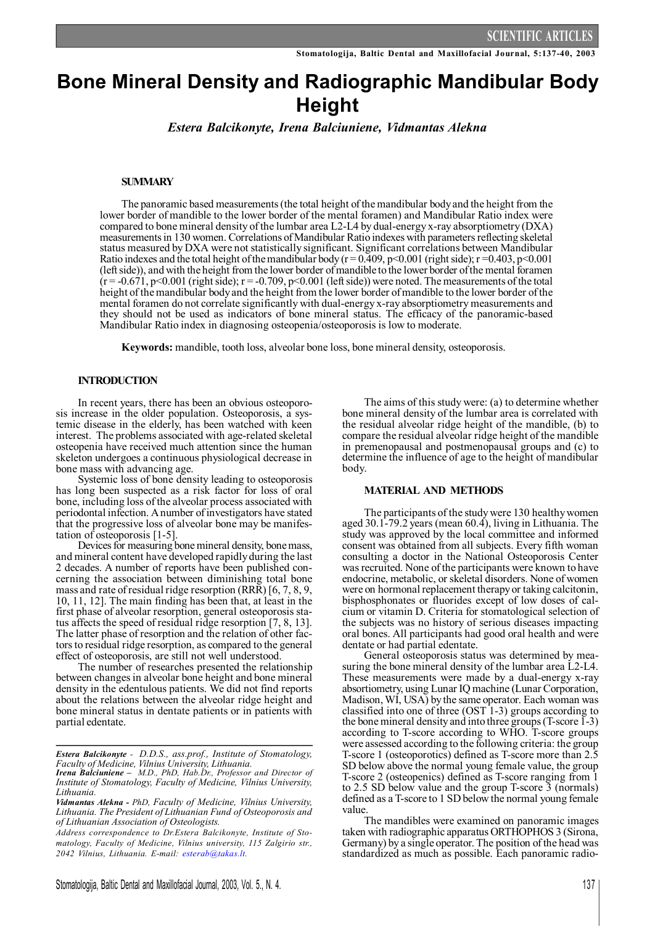# **Bone Mineral Density and Radiographic Mandibular Body Height**

*Estera Balcikonyte, Irena Balciuniene, Vidmantas Alekna*

# **SUMMARY**

The panoramic based measurements(the total height of themandibular bodyand the height from the lower border of mandible to the lower border of the mental foramen) and Mandibular Ratio index were compared to bone mineral density of the lumbar area L2-L4 by dual-energy x-ray absorptiometry (DXA) measurements in 130 women. Correlations of Mandibular Ratio indexes with parameters reflecting skeletal status measured by DXA were not statistically significant. Significant correlations between Mandibular Ratio indexes and the total height of the mandibular body ( $r = 0.409$ ,  $p < 0.001$  (right side);  $r = 0.403$ ,  $p < 0.001$ (leftside)), and with the height from the lower border ofmandible to the lower border ofthe mental foramen  $(r = -0.671, p < 0.001$  (right side);  $r = -0.709, p < 0.001$  (left side)) were noted. The measurements of the total height of the mandibular body and the height from the lower border of mandible to the lower border of the mental foramen do not correlate significantly with dual-energy x-ray absorptiometry measurements and they should not be used as indicators of bone mineral status. The efficacy of the panoramic-based Mandibular Ratio index in diagnosing osteopenia/osteoporosis is low to moderate.

**Keywords:** mandible, tooth loss, alveolar bone loss, bone mineral density, osteoporosis.

### **INTRODUCTION**

In recent years, there has been an obvious osteoporosis increase in the older population. Osteoporosis, a systemic disease in the elderly, has been watched with keen interest. The problems associated with age-related skeletal osteopenia have received much attention since the human skeleton undergoes a continuous physiological decrease in bone mass with advancing age.

Systemic loss of bone density leading to osteoporosis has long been suspected as a risk factor for loss of oral bone, including loss of the alveolar process associated with periodontal infection. Anumber of investigators have stated that the progressive loss of alveolar bone may be manifestation of osteoporosis [1-5].

Devices for measuring bone mineral density, bone mass, and mineral content have developed rapidlyduring the last 2 decades. A number of reports have been published concerning the association between diminishing total bone mass and rate of residual ridge resorption (RRR) [6, 7, 8, 9, 10, 11, 12]. The main finding has been that, at least in the first phase of alveolar resorption, general osteoporosis status affects the speed of residual ridge resorption [7, 8, 13]. The latter phase of resorption and the relation of other factorsto residual ridge resorption, as compared to the general effect of osteoporosis, are still not well understood.

The number of researches presented the relationship between changes in alveolar bone height and bone mineral density in the edentulous patients. We did not find reports about the relations between the alveolar ridge height and bone mineral status in dentate patients or in patients with partial edentate.

The aims of this study were: (a) to determine whether bone mineral density of the lumbar area is correlated with the residual alveolar ridge height of the mandible, (b) to compare the residual alveolar ridge height of the mandible in premenopausal and postmenopausal groups and (c) to determine the influence of age to the height of mandibular body.

#### **MATERIAL AND METHODS**

The participants of the studywere 130 healthywomen aged 30.1-79.2 years (mean 60.4), living in Lithuania. The study was approved by the local committee and informed consent was obtained from all subjects. Every fifth woman consulting a doctor in the National Osteoporosis Center was recruited. None of the participants were known to have endocrine, metabolic, or skeletal disorders. None of women were on hormonal replacement therapyor taking calcitonin, bisphosphonates or fluorides except of low doses of calcium or vitamin D. Criteria for stomatological selection of the subjects was no history of serious diseases impacting oral bones. All participants had good oral health and were dentate or had partial edentate.

General osteoporosis status was determined by measuring the bone mineral density of the lumbar area  $\text{L2-L4}$ . These measurements were made by a dual-energy x-ray absortiometry, using Lunar IQ machine (Lunar Corporation, Madison,WI, USA) bythe same operator. Each woman was classified into one of three (OST 1-3) groups according to the bonemineral density and into three groups(T-score 1-3) according to T-score according to WHO. T-score groups were assessed according to the following criteria: the group T-score 1 (osteoporotics) defined as T-score more than 2.5 SD below above the normal young female value, the group T-score 2 (osteopenics) defined as T-score ranging from 1 to 2.5 SD below value and the group T-score 3 (normals) defined as a T-score to 1 SD below the normal young female value

The mandibles were examined on panoramic images taken with radiographic apparatus ORTHOPHOS 3 (Sirona, Germany) by a single operator. The position of the head was standardized as much as possible. Each panoramic radio-

*Estera Balcikonyte - D.D.S., ass.prof., Institute of Stomatology, Faculty of Medicine, Vilnius University, Lithuania.*

*Irena Balciuniene – M.D., PhD, Hab.Dr., Professor and Director of Institute of Stomatology, Faculty of Medicine, Vilnius University, Lithuania.*

*Vidmantas Alekna - PhD, Faculty of Medicine, Vilnius University, Lithuania. The President of Lithuanian Fund of Osteoporosis and of Lithuanian Association of Osteologists.*

*Address correspondence to Dr.Estera Balcikonyte, Institute of Stomatology, Faculty of Medicine, Vilnius university, 115 Zalgirio str., 2042 Vilnius, Lithuania. E-mail: [esterab@takas.lt.](mailto:esterab@takas.lt)*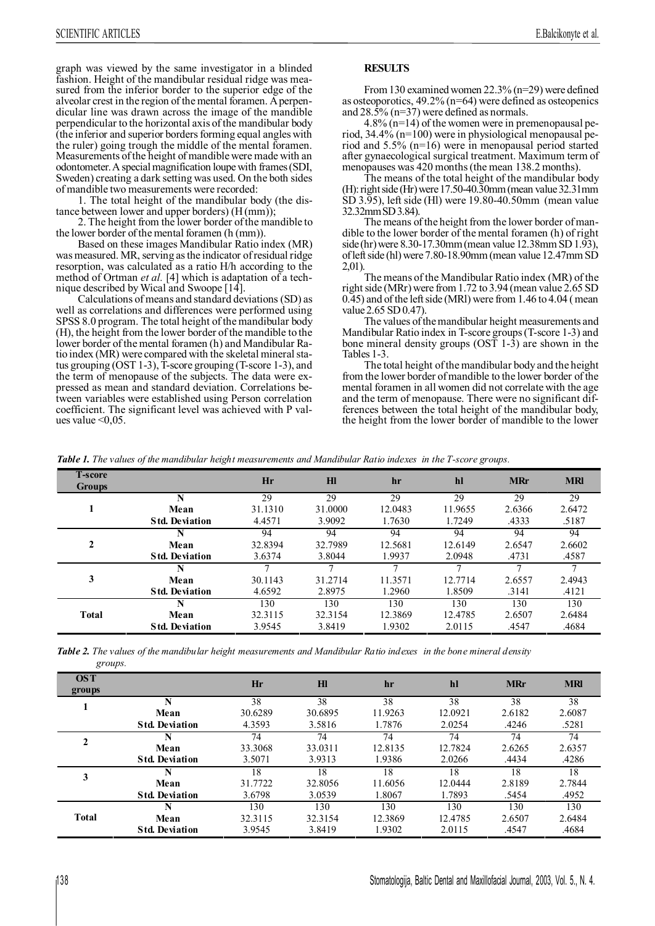graph was viewed by the same investigator in a blinded fashion. Height of the mandibular residual ridge was measured from the inferior border to the superior edge of the alveolar crest in the region of themental foramen. Aperpendicular line was drawn across the image of the mandible perpendicular to the horizontal axis of the mandibular body (the inferior and superior bordersforming equal angles with the ruler) going trough the middle of the mental foramen. Measurements of the height of mandible were made with an odontometer.Aspecialmagnification loupewith frames(SDI, Sweden) creating a dark setting was used. On the both sides of mandible two measurements were recorded:

1. The total height of the mandibular body (the distance between lower and upper borders) (H(mm));

2. The height from the lower border of the mandible to the lower border of the mental foramen (h (mm)).

Based on these images Mandibular Ratio index (MR) was measured. MR, serving asthe indicator ofresidual ridge resorption, was calculated as a ratio H/h according to the method of Ortman *et al.* [4] which is adaptation of a technique described byWical and Swoope [14].

Calculations of means and standard deviations (SD) as well as correlations and differences were performed using SPSS 8.0 program. The total height of the mandibular body (H), the height from the lower border of the mandible to the lower border of the mental foramen (h) and Mandibular Ratio index (MR) were compared with the skeletal mineral status grouping (OST 1-3), T-score grouping (T-score 1-3), and the term of menopause of the subjects. The data were expressed as mean and standard deviation. Correlations between variables were established using Person correlation coefficient. The significant level was achieved with P values value  $\leq 0.05$ .

# **RESULTS**

From130 examinedwomen 22.3% (n=29) were defined as osteoporotics, 49.2% (n=64) were defined as osteopenics and 28.5% (n=37) were defined as normals.

4.8%  $(n=14)$  of the women were in premenopausal period, 34.4% (n=100) were in physiological menopausal period and  $5.5\%$  (n=16) were in menopausal period started after gynaecological surgical treatment. Maximum term of menopauses was 420 months (the mean 138.2 months).

The means of the total height of the mandibular body (H): right side (Hr) were  $17.50 - 40.30$ mm (mean value 32.31mm SD 3.95), left side (Hl) were 19.80-40.50mm (mean value 32.32mmSD3.84).

The means of the height from the lower border of mandible to the lower border of the mental foramen (h) of right side(hr) were 8.30-17.30mm (mean value 12.38mm SD 1.93), of left side (hl) were 7.80-18.90mm (mean value 12.47mm SD 2,01).

The means of the Mandibular Ratio index (MR) of the right side (MRr) were from 1.72 to 3.94 (mean value 2.65 SD 0.45) and of the leftside (MRl) were from 1.46 to 4.04 (mean value 2.65 SD0.47).

The values of the mandibular height measurements and Mandibular Ratio index in T-score groups(T-score 1-3) and bone mineral density groups  $(OST 1-3)$  are shown in the Tables 1-3.

The total height of the mandibular body and the height from the lower border ofmandible to the lower border of the mental foramen in all women did not correlate with the age and the term of menopause. There were no significant differences between the total height of the mandibular body, the height from the lower border of mandible to the lower

*Table 1. The values of the mandibular height measurements and Mandibular Ratio indexes in the T-score groups.*

| <b>T-score</b><br><b>Groups</b> |                       | Hr      | Hl      | hr      | hl      | <b>MRr</b>                                         | <b>MRI</b> |
|---------------------------------|-----------------------|---------|---------|---------|---------|----------------------------------------------------|------------|
|                                 | N                     | 29      | 29      | 29      | 29      | 29                                                 | 29         |
|                                 | Mean                  | 31.1310 | 31.0000 | 12.0483 | 11.9655 | 2.6366                                             | 2.6472     |
|                                 | <b>Std. Deviation</b> | 4.4571  | 3.9092  | 1.7630  | 1.7249  | .4333                                              | .5187      |
|                                 | N                     | 94      | 94      | 94      | 94      | 94                                                 | 94         |
| $\mathbf{2}$                    | Mean                  | 32.8394 | 32.7989 | 12.5681 | 12.6149 | 2.6547                                             | 2.6602     |
|                                 | <b>Std. Deviation</b> | 3.6374  | 3.8044  | 1.9937  | 2.0948  | .4731<br>2.6557<br>.3141<br>130<br>2.6507<br>.4547 | .4587      |
|                                 | N                     |         |         |         |         |                                                    |            |
| 3                               | Mean                  | 30.1143 | 31.2714 | 11.3571 | 12.7714 |                                                    | 2.4943     |
|                                 | <b>Std. Deviation</b> | 4.6592  | 2.8975  | 1.2960  | 1.8509  |                                                    | .4121      |
|                                 |                       | 130     | 130     | 130     | 130     |                                                    | 130        |
| <b>Total</b>                    | Mean                  | 32.3115 | 32.3154 | 12.3869 | 12.4785 |                                                    | 2.6484     |
|                                 | <b>Std. Deviation</b> | 3.9545  | 3.8419  | 1.9302  | 2.0115  |                                                    | .4684      |
|                                 |                       |         |         |         |         |                                                    |            |

Table 2. The values of the mandibular height measurements and Mandibular Ratio indexes in the bone mineral density *groups.* 

| <b>OST</b><br>groups |                       | Hr      | H1      | hr      | hl      | <b>MRr</b> | <b>MRI</b> |
|----------------------|-----------------------|---------|---------|---------|---------|------------|------------|
|                      | N                     | 38      | 38      | 38      | 38      | 38         | 38         |
|                      | Mean                  | 30.6289 | 30.6895 | 11.9263 | 12.0921 | 2.6182     | 2.6087     |
|                      | <b>Std. Deviation</b> | 4.3593  | 3.5816  | 1.7876  | 2.0254  | .4246      | .5281      |
|                      | N                     | 74      | 74      | 74      | 74      | 74         | 74         |
|                      | Mean                  | 33.3068 | 33.0311 | 12.8135 | 12.7824 | 2.6265     | 2.6357     |
|                      | <b>Std. Deviation</b> | 3.5071  | 3.9313  | 1.9386  | 2.0266  | .4434      | .4286      |
| 3                    |                       | 18      | 18      | 18      | 18      | 18         | 18         |
|                      | Mean                  | 31.7722 | 32.8056 | 11.6056 | 12.0444 | 2.8189     | 2.7844     |
|                      | <b>Std. Deviation</b> | 3.6798  | 3.0539  | 1.8067  | 1.7893  | .5454      | .4952      |
| <b>Total</b>         | N                     | 130     | 130     | 130     | 130     | 130        | 130        |
|                      | Mean                  | 32.3115 | 32.3154 | 12.3869 | 12.4785 | 2.6507     | 2.6484     |
|                      | <b>Std. Deviation</b> | 3.9545  | 3.8419  | 1.9302  | 2.0115  | .4547      | .4684      |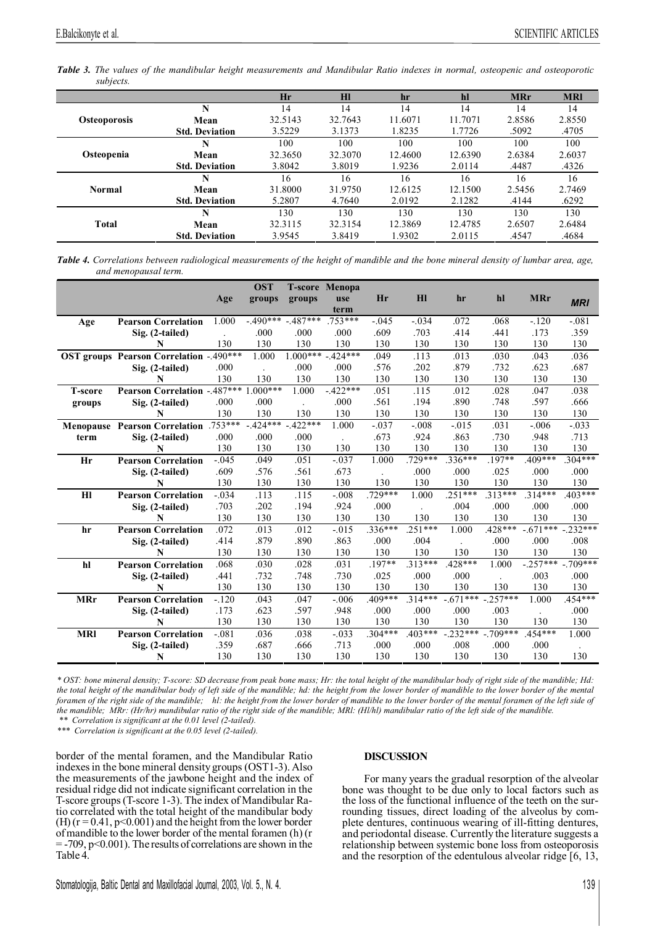Table 3. The values of the mandibular height measurements and Mandibular Ratio indexes in normal, osteopenic and osteoporotic *subjects.*

|                     |                       | Hr      | HI      | hr      | hl      | <b>MRr</b>                      | <b>MRI</b> |
|---------------------|-----------------------|---------|---------|---------|---------|---------------------------------|------------|
|                     | N                     | 14      | 14      | 14      | 14      | 14                              | 14         |
| <b>Osteoporosis</b> | Mean                  | 32.5143 | 32.7643 | 11.6071 | 11.7071 | 2.8586                          | 2.8550     |
|                     | <b>Std. Deviation</b> | 3.5229  | 3.1373  | 1.8235  | 1.7726  | .5092                           | .4705      |
|                     | N                     | 100     | 100     | 100     | 100     | 100                             | 100        |
| Osteopenia          | Mean                  | 32.3650 | 32.3070 | 12.4600 | 12.6390 | 2.6384                          | 2.6037     |
|                     | <b>Std. Deviation</b> | 3.8042  | 3.8019  | 1.9236  | 2.0114  | .4487                           | .4326      |
|                     | N                     | 16      | 16      | 16      | 16      | 16                              | 16         |
| <b>Normal</b>       | Mean                  | 31.8000 | 31.9750 | 12.6125 | 12.1500 | 2.5456                          | 2.7469     |
|                     | <b>Std. Deviation</b> | 5.2807  | 4.7640  | 2.0192  | 2.1282  | .4144<br>130<br>2.6507<br>.4547 | .6292      |
|                     | N                     | 130     | 130     | 130     | 130     |                                 | 130        |
| <b>Total</b>        | Mean                  | 32.3115 | 32.3154 | 12.3869 | 12.4785 |                                 | 2.6484     |
|                     | <b>Std. Deviation</b> | 3.9545  | 3.8419  | 1.9302  | 2.0115  |                                 | .4684      |
|                     |                       |         |         |         |         |                                 |            |

Table 4. Correlations between radiological measurements of the height of mandible and the bone mineral density of lumbar area, age, *and menopausal term.* 

|                |                                                    |         | <b>OST</b> |            | <b>T-score Menopa</b> |           |                |            |            |            |            |
|----------------|----------------------------------------------------|---------|------------|------------|-----------------------|-----------|----------------|------------|------------|------------|------------|
|                |                                                    | Age     | groups     | groups     | use                   | Hr        | H <sub>l</sub> | hr         | hl         | <b>MRr</b> | <b>MRI</b> |
|                |                                                    |         |            |            | term                  |           |                |            |            |            |            |
| Age            | <b>Pearson Correlation</b>                         | 1.000   | $-.490***$ | $-487***$  | .753***               | $-.045$   | $-.034$        | .072       | .068       | $-.120$    | $-.081$    |
|                | Sig. (2-tailed)                                    |         | .000       | .000       | .000                  | .609      | .703           | .414       | .441       | .173       | .359       |
|                | N                                                  | 130     | 130        | 130        | 130                   | 130       | 130            | 130        | 130        | 130        | 130        |
|                | <b>OST groups Pearson Correlation -. 490 ***</b>   |         | 1.000      | $1.000***$ | $-424***$             | .049      | .113           | .013       | .030       | .043       | .036       |
|                | Sig. (2-tailed)                                    | .000    |            | .000       | .000                  | .576      | .202           | .879       | .732       | .623       | .687       |
|                | N                                                  | 130     | 130        | 130        | 130                   | 130       | 130            | 130        | 130        | 130        | 130        |
| <b>T-score</b> | Pearson Correlation - $\overline{487***}$ 1.000*** |         |            | 1.000      | $-422***$             | .051      | .115           | .012       | .028       | .047       | .038       |
| groups         | Sig. (2-tailed)                                    | .000    | .000       |            | .000                  | .561      | .194           | .890       | .748       | .597       | .666       |
|                | N                                                  | 130     | 130        | 130        | 130                   | 130       | 130            | 130        | 130        | 130        | 130        |
|                | <b>Menopause Pearson Correlation</b> .753***       |         | $-424***$  | $-422***$  | 1.000                 | $-.037$   | $-.008$        | $-.015$    | .031       | $-.006$    | $-.033$    |
| term           | Sig. (2-tailed)                                    | .000    | .000       | .000       |                       | .673      | .924           | .863       | .730       | .948       | .713       |
|                | N                                                  | 130     | 130        | 130        | 130                   | 130       | 130            | 130        | 130        | 130        | 130        |
| Hr             | <b>Pearson Correlation</b>                         | $-.045$ | .049       | .051       | $-.037$               | 1.000     | .729***        | .336***    | .197**     | $.409***$  | $.304***$  |
|                | Sig. (2-tailed)                                    | .609    | .576       | .561       | .673                  |           | .000           | .000       | .025       | .000       | .000       |
|                | N                                                  | 130     | 130        | 130        | 130                   | 130       | 130            | 130        | 130        | 130        | 130        |
| H1             | <b>Pearson Correlation</b>                         | $-.034$ | .113       | .115       | $-.008$               | $.729***$ | 1.000          | $.251***$  | $.313***$  | $314***$   | 403***     |
|                | Sig. (2-tailed)                                    | .703    | .202       | .194       | .924                  | .000      |                | .004       | .000       | .000       | .000       |
|                | N                                                  | 130     | 130        | 130        | 130                   | 130       | 130            | 130        | 130        | 130        | 130        |
| hr             | <b>Pearson Correlation</b>                         | .072    | .013       | .012       | $-0.015$              | $.336***$ | $.251***$      | 1.000      | $.428***$  | $-.671***$ | $-.232***$ |
|                | Sig. (2-tailed)                                    | .414    | .879       | .890       | .863                  | .000      | .004           |            | .000       | .000       | .008       |
|                | N                                                  | 130     | 130        | 130        | 130                   | 130       | 130            | 130        | 130        | 130        | 130        |
| hl             | <b>Pearson Correlation</b>                         | .068    | .030       | .028       | .031                  | .197**    | $.313***$      | $.428***$  | 1.000      | $-.257***$ | $-.709***$ |
|                | Sig. (2-tailed)                                    | .441    | .732       | .748       | .730                  | .025      | .000           | .000       |            | .003       | .000       |
|                | N                                                  | 130     | 130        | 130        | 130                   | 130       | 130            | 130        | 130        | 130        | 130        |
| <b>MRr</b>     | <b>Pearson Correlation</b>                         | $-.120$ | .043       | .047       | $-.006$               | .409***   | $.314***$      | $-.671***$ | $-.257***$ | 1.000      | .454***    |
|                | Sig. (2-tailed)                                    | .173    | .623       | .597       | .948                  | .000      | .000           | .000       | .003       |            | .000       |
|                | N                                                  | 130     | 130        | 130        | 130                   | 130       | 130            | 130        | 130        | 130        | 130        |
| <b>MRI</b>     | <b>Pearson Correlation</b>                         | $-.081$ | .036       | .038       | $-.033$               | $.304***$ | $.403***$      | $-.232***$ | $-709***$  | $.454***$  | 1.000      |
|                | Sig. (2-tailed)                                    | .359    | .687       | .666       | .713                  | .000      | .000           | .008       | .000       | .000       |            |
|                | N                                                  | 130     | 130        | 130        | 130                   | 130       | 130            | 130        | 130        | 130        | 130        |

\* OST: bone mineral density; T-score: SD decrease from peak bone mass; Hr: the total height of the mandibular body of right side of the mandible; Hd: the total height of the mandibular body of left side of the mandible; hd: the height from the lower border of mandible to the lower border of the mental foramen of the right side of the mandible; hl: the height from the lower border of mandible to the lower border of the mental foramen of the left side of the mandible; MRr: (Hr/hr) mandibular ratio of the right side of the mandible; MRI: (HI/hl) mandibular ratio of the left side of the mandible. *\*\* Correlation is significant at the 0.01 level (2-tailed).* 

*\*\*\* Correlation is significant at the 0.05 level (2-tailed).* 

border of the mental foramen, and the Mandibular Ratio indexesin the bone mineral densitygroups (OST1-3). Also the measurements of the jawbone height and the index of residual ridge did not indicate significant correlation in the T-score groups(T-score 1-3). The index of Mandibular Ratio correlated with the total height of the mandibular body  $(H)$  (r = 0.41, p<0.001) and the height from the lower border ofmandible to the lower border of the mental foramen (h) (r  $=$  -709, p<0.001). The results of correlations are shown in the Table 4.

# **DISCUSSION**

For many years the gradual resorption of the alveolar bone was thought to be due only to local factors such as the loss of the functional influence of the teeth on the surrounding tissues, direct loading of the alveolus by complete dentures, continuous wearing of ill-fitting dentures, and periodontal disease. Currently the literature suggests a relationship between systemic bone loss from osteoporosis and the resorption of the edentulous alveolar ridge [6, 13,